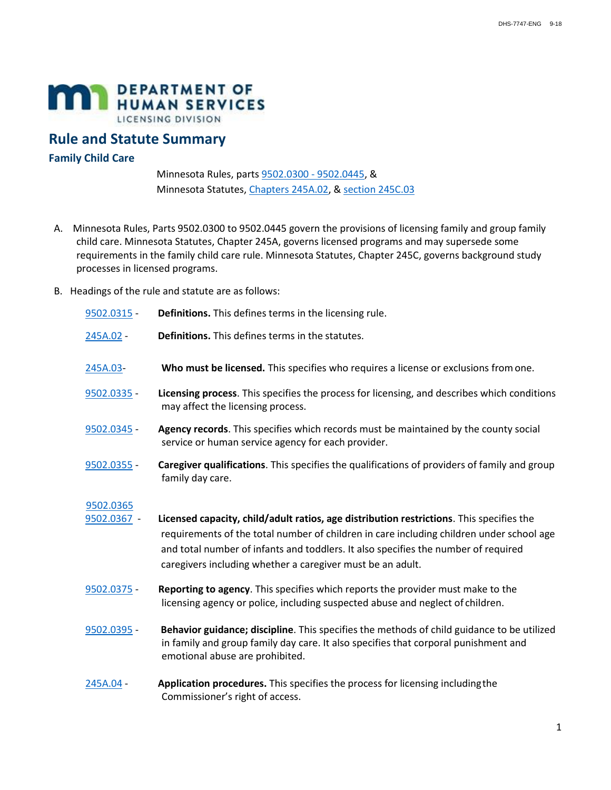

## **Rule and Statute Summary**

## **Family Child Care**

Minnesota Rules, parts [9502.0300 - 9502.0445,](https://www.revisor.mn.gov/rules?id=9502&version=2016-04-13T16:37:27-05:00) & Minnesota Statutes[, Chapters 245A.02,](https://www.revisor.mn.gov/statutes/cite/245A) & [section 245C.03](https://www.revisor.mn.gov/statutes/cite/245C.03)

- A. Minnesota Rules, Parts 9502.0300 to 9502.0445 govern the provisions of licensing family and group family child care. Minnesota Statutes, Chapter 245A, governs licensed programs and may supersede some requirements in the family child care rule. Minnesota Statutes, Chapter 245C, governs background study processes in licensed programs.
- B. Headings of the rule and statute are as follows:

| 9502.0315 -              | Definitions. This defines terms in the licensing rule.                                                                                                                                                                                                                                                                                   |
|--------------------------|------------------------------------------------------------------------------------------------------------------------------------------------------------------------------------------------------------------------------------------------------------------------------------------------------------------------------------------|
| 245A.02 -                | Definitions. This defines terms in the statutes.                                                                                                                                                                                                                                                                                         |
| 245A.03-                 | Who must be licensed. This specifies who requires a license or exclusions from one.                                                                                                                                                                                                                                                      |
| 9502.0335 -              | Licensing process. This specifies the process for licensing, and describes which conditions<br>may affect the licensing process.                                                                                                                                                                                                         |
| 9502.0345 -              | Agency records. This specifies which records must be maintained by the county social<br>service or human service agency for each provider.                                                                                                                                                                                               |
| 9502.0355 -              | Caregiver qualifications. This specifies the qualifications of providers of family and group<br>family day care.                                                                                                                                                                                                                         |
| 9502.0365<br>9502.0367 - | Licensed capacity, child/adult ratios, age distribution restrictions. This specifies the<br>requirements of the total number of children in care including children under school age<br>and total number of infants and toddlers. It also specifies the number of required<br>caregivers including whether a caregiver must be an adult. |
| 9502.0375 -              | Reporting to agency. This specifies which reports the provider must make to the<br>licensing agency or police, including suspected abuse and neglect of children.                                                                                                                                                                        |
| 9502.0395 -              | Behavior guidance; discipline. This specifies the methods of child guidance to be utilized<br>in family and group family day care. It also specifies that corporal punishment and<br>emotional abuse are prohibited.                                                                                                                     |
| 245A.04 -                | Application procedures. This specifies the process for licensing including the<br>Commissioner's right of access.                                                                                                                                                                                                                        |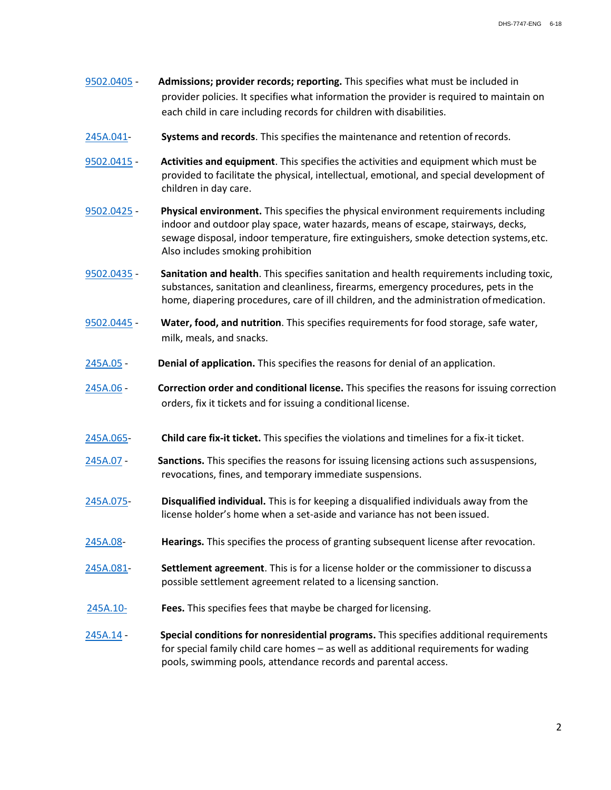- [9502.0405](https://www.revisor.mn.gov/rules/?id=9502.0405)  **Admissions; provider records; reporting.** This specifies what must be included in provider policies. It specifies what information the provider is required to maintain on each child in care including records for children with disabilities.
- [245A.041-](https://www.revisor.mn.gov/statutes/cite/245A.041) **Systems and records**. This specifies the maintenance and retention of records.
- [9502.0415](https://www.revisor.mn.gov/rules/?id=9502.0415)  **Activities and equipment**. This specifies the activities and equipment which must be provided to facilitate the physical, intellectual, emotional, and special development of children in day care.
- [9502.0425](https://www.revisor.mn.gov/rules/?id=9502.0425)  **Physical environment.** This specifies the physical environment requirements including indoor and outdoor play space, water hazards, means of escape, stairways, decks, sewage disposal, indoor temperature, fire extinguishers, smoke detection systems, etc. Also includes smoking prohibition
- [9502.0435](https://www.revisor.mn.gov/rules/?id=9502.0435)  **Sanitation and health**. This specifies sanitation and health requirements including toxic, substances, sanitation and cleanliness, firearms, emergency procedures, pets in the home, diapering procedures, care of ill children, and the administration of medication.
- [9502.0445](https://www.revisor.mn.gov/rules/?id=9502.0445)  **Water, food, and nutrition**. This specifies requirements for food storage, safe water, milk, meals, and snacks.
- [245A.05](https://www.revisor.mn.gov/statutes/cite/245A.05)  **Denial of application.** This specifies the reasons for denial of an application.
- [245A.06 -](https://www.revisor.mn.gov/statutes/cite/245A.06) **Correction order and conditional license.** This specifies the reasons for issuing correction orders, fix it tickets and for issuing a conditional license.
- [245A.065-](https://www.revisor.mn.gov/statutes/cite/245A.065) **Child care fix-it ticket.** This specifies the violations and timelines for a fix-it ticket.
- [245A.07 -](https://www.revisor.mn.gov/statutes/cite/245A.07) **Sanctions.** This specifies the reasons for issuing licensing actions such as suspensions, revocations, fines, and temporary immediate suspensions.
- [245A.075-](https://www.revisor.mn.gov/statutes/cite/245A.075) **Disqualified individual.** This is for keeping a disqualified individuals away from the license holder's home when a set-aside and variance has not been issued.
- [245A.08-](https://www.revisor.mn.gov/statutes/cite/245A.08) **Hearings.** This specifies the process of granting subsequent license after revocation.
- [245A.081-](https://www.revisor.mn.gov/statutes/cite/245A.081) **Settlement agreement**. This is for a license holder or the commissioner to discuss a possible settlement agreement related to a licensing sanction.
- [245A.10-](https://www.revisor.mn.gov/statutes/cite/245A.10) **Fees.** This specifies fees that maybe be charged for licensing.
- [245A.14 -](https://www.revisor.mn.gov/statutes/cite/245A.14) **Special conditions for nonresidential programs.** This specifies additional requirements for special family child care homes – as well as additional requirements for wading pools, swimming pools, attendance records and parental access.